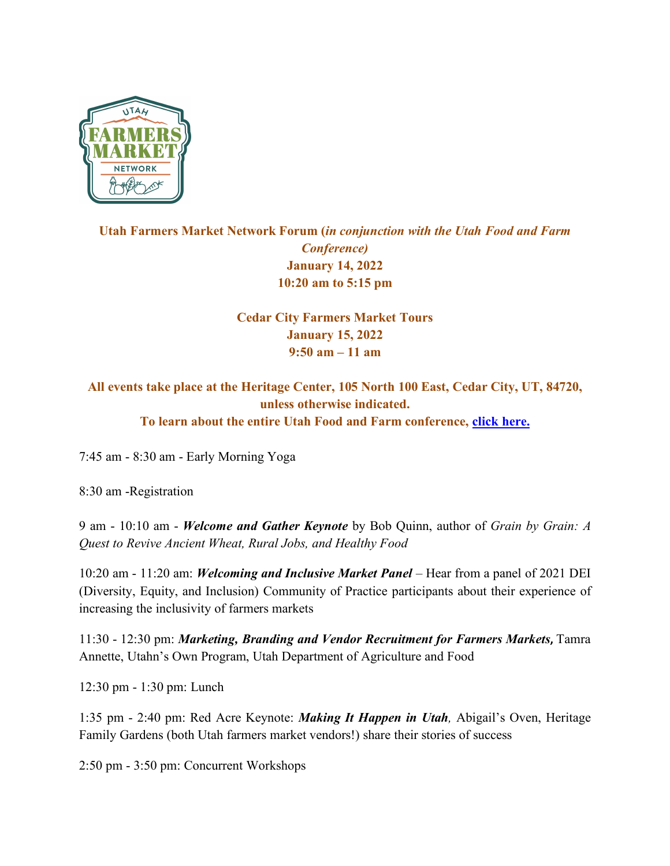

## **Utah Farmers Market Network Forum (***in conjunction with the Utah Food and Farm Conference)* **January 14, 2022 10:20 am to 5:15 pm**

## **Cedar City Farmers Market Tours January 15, 2022 9:50 am – 11 am**

## **All events take place at the Heritage Center, 105 North 100 East, Cedar City, UT, 84720, unless otherwise indicated. To learn about the entire Utah Food and Farm conference, click here.**

7:45 am - 8:30 am - Early Morning Yoga

8:30 am -Registration

9 am - 10:10 am - *Welcome and Gather Keynote* by Bob Quinn, author of *Grain by Grain: A Quest to Revive Ancient Wheat, Rural Jobs, and Healthy Food*

10:20 am - 11:20 am: *Welcoming and Inclusive Market Panel* – Hear from a panel of 2021 DEI (Diversity, Equity, and Inclusion) Community of Practice participants about their experience of increasing the inclusivity of farmers markets

11:30 - 12:30 pm: *Marketing, Branding and Vendor Recruitment for Farmers Markets***,** Tamra Annette, Utahn's Own Program, Utah Department of Agriculture and Food

12:30 pm - 1:30 pm: Lunch

1:35 pm - 2:40 pm: Red Acre Keynote: *Making It Happen in Utah,* Abigail's Oven, Heritage Family Gardens (both Utah farmers market vendors!) share their stories of success

2:50 pm - 3:50 pm: Concurrent Workshops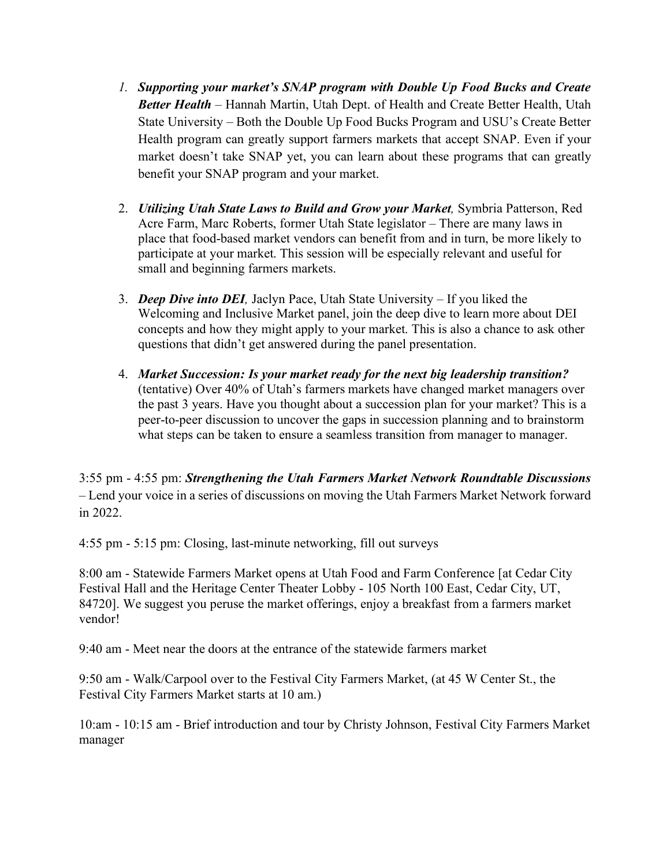- *1. Supporting your market's SNAP program with Double Up Food Bucks and Create Better Health –* Hannah Martin, Utah Dept. of Health and Create Better Health, Utah State University – Both the Double Up Food Bucks Program and USU's Create Better Health program can greatly support farmers markets that accept SNAP. Even if your market doesn't take SNAP yet, you can learn about these programs that can greatly benefit your SNAP program and your market.
- 2. *Utilizing Utah State Laws to Build and Grow your Market,* Symbria Patterson, Red Acre Farm, Marc Roberts, former Utah State legislator – There are many laws in place that food-based market vendors can benefit from and in turn, be more likely to participate at your market. This session will be especially relevant and useful for small and beginning farmers markets.
- 3. *Deep Dive into DEI,* Jaclyn Pace, Utah State University If you liked the Welcoming and Inclusive Market panel, join the deep dive to learn more about DEI concepts and how they might apply to your market. This is also a chance to ask other questions that didn't get answered during the panel presentation.
- 4. *Market Succession: Is your market ready for the next big leadership transition?* (tentative) Over 40% of Utah's farmers markets have changed market managers over the past 3 years. Have you thought about a succession plan for your market? This is a peer-to-peer discussion to uncover the gaps in succession planning and to brainstorm what steps can be taken to ensure a seamless transition from manager to manager.

3:55 pm - 4:55 pm: *Strengthening the Utah Farmers Market Network Roundtable Discussions* – Lend your voice in a series of discussions on moving the Utah Farmers Market Network forward in 2022.

4:55 pm - 5:15 pm: Closing, last-minute networking, fill out surveys

8:00 am - Statewide Farmers Market opens at Utah Food and Farm Conference [at Cedar City Festival Hall and the Heritage Center Theater Lobby - 105 North 100 East, Cedar City, UT, 84720]. We suggest you peruse the market offerings, enjoy a breakfast from a farmers market vendor!

9:40 am - Meet near the doors at the entrance of the statewide farmers market

9:50 am - Walk/Carpool over to the Festival City Farmers Market, (at 45 W Center St., the Festival City Farmers Market starts at 10 am.)

10:am - 10:15 am - Brief introduction and tour by Christy Johnson, Festival City Farmers Market manager